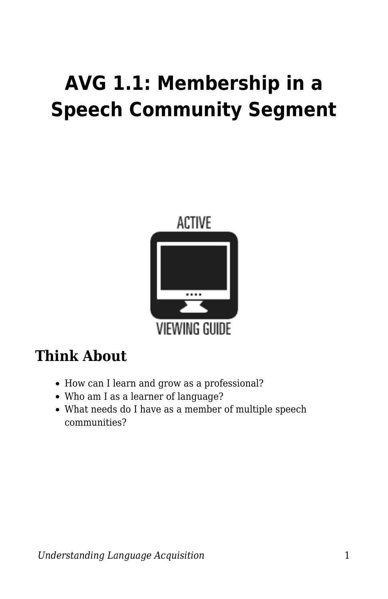# **AVG 1.1: Membership in a Speech Community Segment**



### **Think About**

- How can I learn and grow as a professional?
- Who am I as a learner of language?
- What needs do I have as a member of multiple speech communities?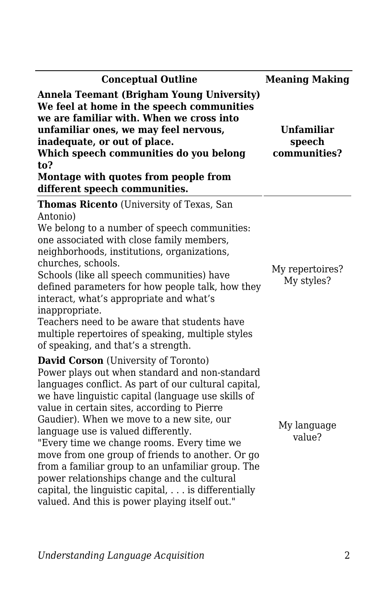| <b>Conceptual Outline</b>                                                                                                                                                                                                                                                                                                                                                                                                                                                                                                                                                                                                                                    | <b>Meaning Making</b>                       |
|--------------------------------------------------------------------------------------------------------------------------------------------------------------------------------------------------------------------------------------------------------------------------------------------------------------------------------------------------------------------------------------------------------------------------------------------------------------------------------------------------------------------------------------------------------------------------------------------------------------------------------------------------------------|---------------------------------------------|
| <b>Annela Teemant (Brigham Young University)</b><br>We feel at home in the speech communities<br>we are familiar with. When we cross into<br>unfamiliar ones, we may feel nervous,<br>inadequate, or out of place.<br>Which speech communities do you belong<br>to?<br>Montage with quotes from people from<br>different speech communities.                                                                                                                                                                                                                                                                                                                 | <b>Unfamiliar</b><br>speech<br>communities? |
| <b>Thomas Ricento</b> (University of Texas, San<br>Antonio)<br>We belong to a number of speech communities:<br>one associated with close family members,<br>neighborhoods, institutions, organizations,<br>churches, schools.<br>Schools (like all speech communities) have<br>defined parameters for how people talk, how they<br>interact, what's appropriate and what's<br>inappropriate.<br>Teachers need to be aware that students have<br>multiple repertoires of speaking, multiple styles<br>of speaking, and that's a strength.                                                                                                                     | My repertoires?<br>My styles?               |
| <b>David Corson</b> (University of Toronto)<br>Power plays out when standard and non-standard<br>languages conflict. As part of our cultural capital,<br>we have linguistic capital (language use skills of<br>value in certain sites, according to Pierre<br>Gaudier). When we move to a new site, our<br>language use is valued differently.<br>"Every time we change rooms. Every time we<br>move from one group of friends to another. Or go<br>from a familiar group to an unfamiliar group. The<br>power relationships change and the cultural<br>capital, the linguistic capital, is differentially<br>valued. And this is power playing itself out." | My language<br>value?                       |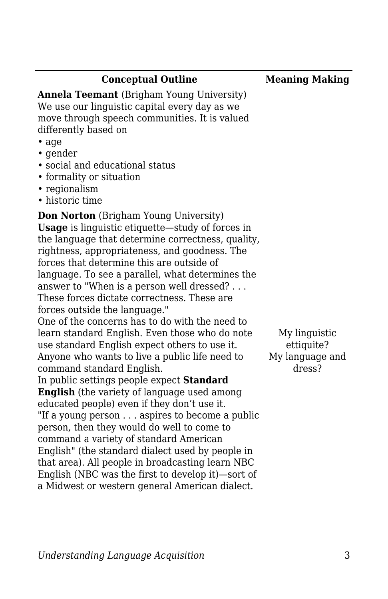#### **Conceptual Outline Meaning Making**

**Annela Teemant** (Brigham Young University) We use our linguistic capital every day as we move through speech communities. It is valued differently based on

- age
- gender
- social and educational status
- formality or situation
- regionalism
- historic time

**Don Norton** (Brigham Young University)

**Usage** is linguistic etiquette—study of forces in the language that determine correctness, quality, rightness, appropriateness, and goodness. The forces that determine this are outside of language. To see a parallel, what determines the answer to "When is a person well dressed? . . . These forces dictate correctness. These are forces outside the language."

One of the concerns has to do with the need to learn standard English. Even those who do note use standard English expect others to use it. Anyone who wants to live a public life need to command standard English.

In public settings people expect **Standard English** (the variety of language used among educated people) even if they don't use it. "If a young person . . . aspires to become a public person, then they would do well to come to command a variety of standard American English" (the standard dialect used by people in that area). All people in broadcasting learn NBC English (NBC was the first to develop it)—sort of a Midwest or western general American dialect.

My linguistic ettiquite? My language and dress?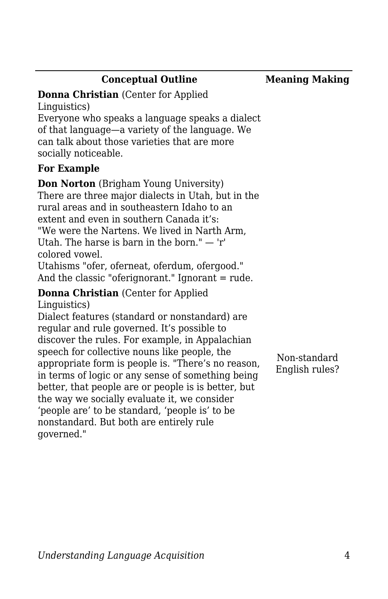### **Conceptual Outline Meaning Making**

**Donna Christian** (Center for Applied Linguistics) Everyone who speaks a language speaks a dialect of that language—a variety of the language. We can talk about those varieties that are more socially noticeable.

#### **For Example**

**Don Norton** (Brigham Young University) There are three major dialects in Utah, but in the rural areas and in southeastern Idaho to an extent and even in southern Canada it's: "We were the Nartens. We lived in Narth Arm, Utah. The harse is barn in the born." — 'r' colored vowel.

Utahisms "ofer, oferneat, oferdum, ofergood." And the classic "oferignorant." Ignorant = rude.

## **Donna Christian** (Center for Applied

Linguistics)

Dialect features (standard or nonstandard) are regular and rule governed. It's possible to discover the rules. For example, in Appalachian speech for collective nouns like people, the appropriate form is people is. "There's no reason, in terms of logic or any sense of something being better, that people are or people is is better, but the way we socially evaluate it, we consider 'people are' to be standard, 'people is' to be nonstandard. But both are entirely rule governed."

Non-standard English rules?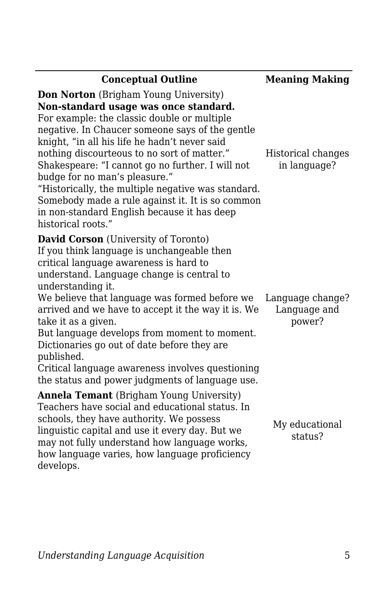| <b>Conceptual Outline</b>                                                                                                                                                                                                                                                                                                                                                                                                                                                                                                                                   | <b>Meaning Making</b>                      |
|-------------------------------------------------------------------------------------------------------------------------------------------------------------------------------------------------------------------------------------------------------------------------------------------------------------------------------------------------------------------------------------------------------------------------------------------------------------------------------------------------------------------------------------------------------------|--------------------------------------------|
| <b>Don Norton</b> (Brigham Young University)<br>Non-standard usage was once standard.<br>For example: the classic double or multiple<br>negative. In Chaucer someone says of the gentle<br>knight, "in all his life he hadn't never said<br>nothing discourteous to no sort of matter."<br>Shakespeare: "I cannot go no further. I will not<br>budge for no man's pleasure."<br>"Historically, the multiple negative was standard.<br>Somebody made a rule against it. It is so common<br>in non-standard English because it has deep<br>historical roots." | Historical changes<br>in language?         |
| <b>David Corson</b> (University of Toronto)<br>If you think language is unchangeable then<br>critical language awareness is hard to<br>understand. Language change is central to<br>understanding it.<br>We believe that language was formed before we<br>arrived and we have to accept it the way it is. We<br>take it as a given.<br>But language develops from moment to moment.<br>Dictionaries go out of date before they are<br>published.<br>Critical language awareness involves questioning<br>the status and power judgments of language use.     | Language change?<br>Language and<br>power? |
| <b>Annela Temant</b> (Brigham Young University)<br>Teachers have social and educational status. In<br>schools, they have authority. We possess<br>linguistic capital and use it every day. But we<br>may not fully understand how language works,<br>how language varies, how language proficiency<br>develops.                                                                                                                                                                                                                                             | My educational<br>status?                  |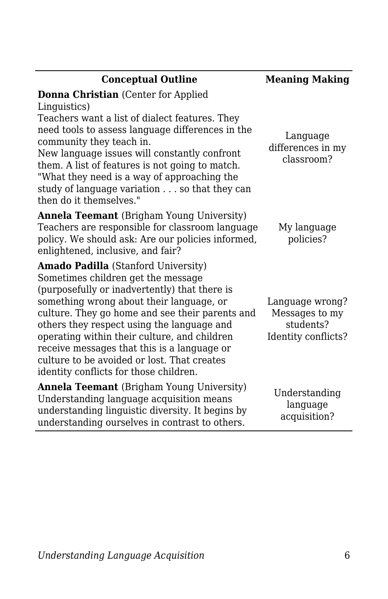| <b>Conceptual Outline</b>                                                                                                                                                                                                                                                                                                                                                                                                                                       | <b>Meaning Making</b>                                                 |
|-----------------------------------------------------------------------------------------------------------------------------------------------------------------------------------------------------------------------------------------------------------------------------------------------------------------------------------------------------------------------------------------------------------------------------------------------------------------|-----------------------------------------------------------------------|
| <b>Donna Christian</b> (Center for Applied<br>Linguistics)<br>Teachers want a list of dialect features. They<br>need tools to assess language differences in the<br>community they teach in.<br>New language issues will constantly confront<br>them. A list of features is not going to match.<br>"What they need is a way of approaching the<br>study of language variation so that they can<br>then do it themselves."                                       | Language<br>differences in my<br>classroom?                           |
| <b>Annela Teemant</b> (Brigham Young University)<br>Teachers are responsible for classroom language<br>policy. We should ask: Are our policies informed,<br>enlightened, inclusive, and fair?                                                                                                                                                                                                                                                                   | My language<br>policies?                                              |
| Amado Padilla (Stanford University)<br>Sometimes children get the message<br>(purposefully or inadvertently) that there is<br>something wrong about their language, or<br>culture. They go home and see their parents and<br>others they respect using the language and<br>operating within their culture, and children<br>receive messages that this is a language or<br>culture to be avoided or lost. That creates<br>identity conflicts for those children. | Language wrong?<br>Messages to my<br>students?<br>Identity conflicts? |
| <b>Annela Teemant</b> (Brigham Young University)<br>Understanding language acquisition means<br>understanding linguistic diversity. It begins by<br>understanding ourselves in contrast to others.                                                                                                                                                                                                                                                              | Understanding<br>language<br>acquisition?                             |